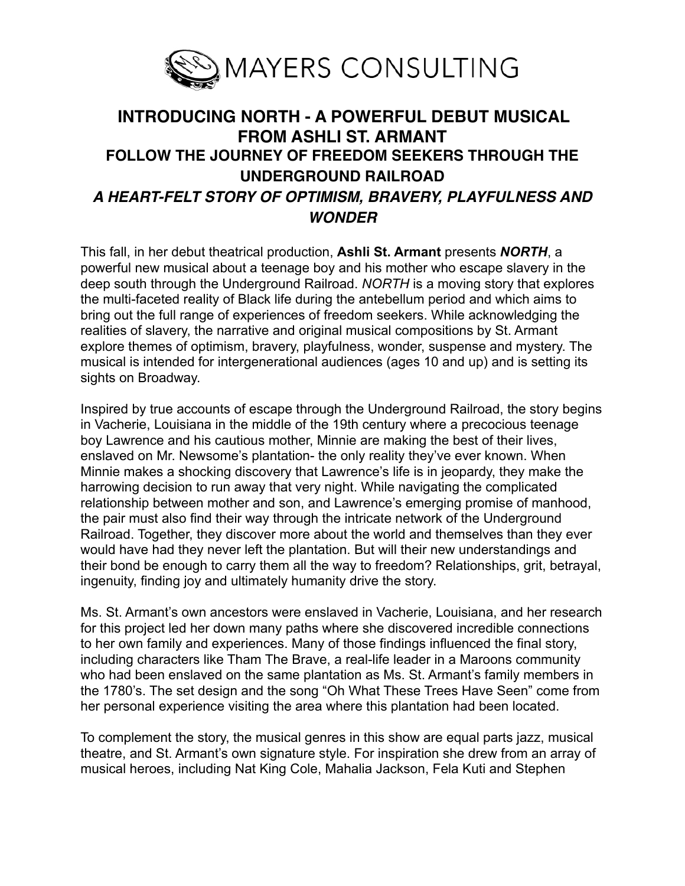

# **INTRODUCING NORTH - A POWERFUL DEBUT MUSICAL FROM ASHLI ST. ARMANT FOLLOW THE JOURNEY OF FREEDOM SEEKERS THROUGH THE UNDERGROUND RAILROAD**  *A HEART-FELT STORY OF OPTIMISM, BRAVERY, PLAYFULNESS AND WONDER*

This fall, in her debut theatrical production, **Ashli St. Armant** presents *NORTH*, a powerful new musical about a teenage boy and his mother who escape slavery in the deep south through the Underground Railroad. *NORTH* is a moving story that explores the multi-faceted reality of Black life during the antebellum period and which aims to bring out the full range of experiences of freedom seekers. While acknowledging the realities of slavery, the narrative and original musical compositions by St. Armant explore themes of optimism, bravery, playfulness, wonder, suspense and mystery. The musical is intended for intergenerational audiences (ages 10 and up) and is setting its sights on Broadway.

Inspired by true accounts of escape through the Underground Railroad, the story begins in Vacherie, Louisiana in the middle of the 19th century where a precocious teenage boy Lawrence and his cautious mother, Minnie are making the best of their lives, enslaved on Mr. Newsome's plantation- the only reality they've ever known. When Minnie makes a shocking discovery that Lawrence's life is in jeopardy, they make the harrowing decision to run away that very night. While navigating the complicated relationship between mother and son, and Lawrence's emerging promise of manhood, the pair must also find their way through the intricate network of the Underground Railroad. Together, they discover more about the world and themselves than they ever would have had they never left the plantation. But will their new understandings and their bond be enough to carry them all the way to freedom? Relationships, grit, betrayal, ingenuity, finding joy and ultimately humanity drive the story.

Ms. St. Armant's own ancestors were enslaved in Vacherie, Louisiana, and her research for this project led her down many paths where she discovered incredible connections to her own family and experiences. Many of those findings influenced the final story, including characters like Tham The Brave, a real-life leader in a Maroons community who had been enslaved on the same plantation as Ms. St. Armant's family members in the 1780's. The set design and the song "Oh What These Trees Have Seen" come from her personal experience visiting the area where this plantation had been located.

To complement the story, the musical genres in this show are equal parts jazz, musical theatre, and St. Armant's own signature style. For inspiration she drew from an array of musical heroes, including Nat King Cole, Mahalia Jackson, Fela Kuti and Stephen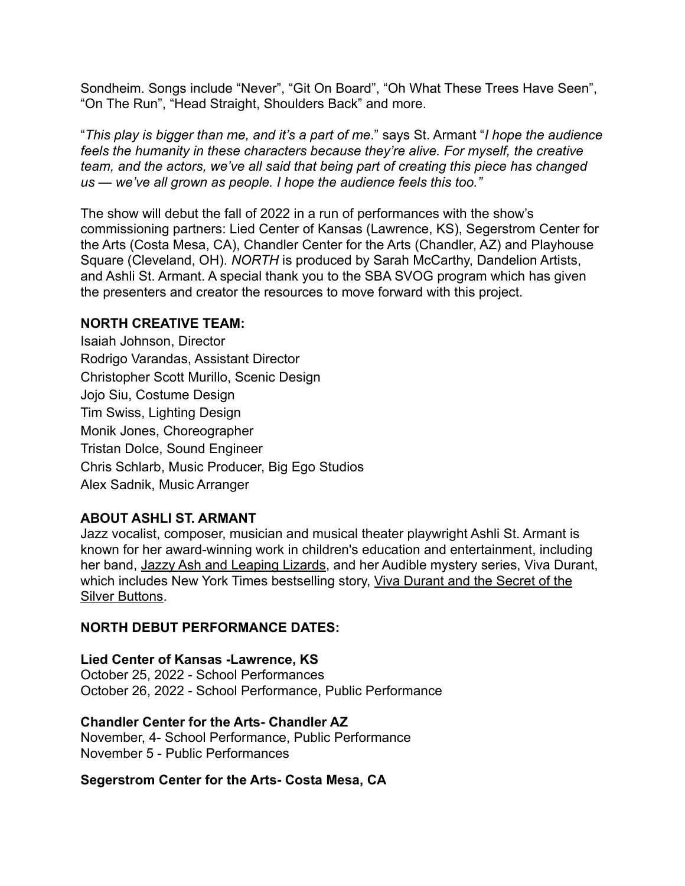Sondheim. Songs include "Never", "Git On Board", "Oh What These Trees Have Seen", "On The Run", "Head Straight, Shoulders Back" and more.

"*This play is bigger than me, and it's a part of me*." says St. Armant "*I hope the audience feels the humanity in these characters because they're alive. For myself, the creative team, and the actors, we've all said that being part of creating this piece has changed us — we've all grown as people. I hope the audience feels this too."*

The show will debut the fall of 2022 in a run of performances with the show's commissioning partners: Lied Center of Kansas (Lawrence, KS), Segerstrom Center for the Arts (Costa Mesa, CA), Chandler Center for the Arts (Chandler, AZ) and Playhouse Square (Cleveland, OH). *NORTH* is produced by Sarah McCarthy, Dandelion Artists, and Ashli St. Armant. A special thank you to the SBA SVOG program which has given the presenters and creator the resources to move forward with this project.

### **NORTH CREATIVE TEAM:**

Isaiah Johnson, Director Rodrigo Varandas, Assistant Director Christopher Scott Murillo, Scenic Design Jojo Siu, Costume Design Tim Swiss, Lighting Design Monik Jones, Choreographer Tristan Dolce, Sound Engineer Chris Schlarb, Music Producer, Big Ego Studios Alex Sadnik, Music Arranger

## **ABOUT ASHLI ST. ARMANT**

Jazz vocalist, composer, musician and musical theater playwright Ashli St. Armant is known for her award-winning work in children's education and entertainment, including her band, [Jazzy Ash and Leaping Lizards](http://www.jazzyash.com/), and her Audible mystery series, Viva Durant, which includes New York Times bestselling story, [Viva Durant and the Secret of the](https://www.audible.com/pd/Viva-Durant-and-the-Secret-of-the-Silver-Buttons-Audiobook/B07WW91GLG)  [Silver Buttons](https://www.audible.com/pd/Viva-Durant-and-the-Secret-of-the-Silver-Buttons-Audiobook/B07WW91GLG).

### **NORTH DEBUT PERFORMANCE DATES:**

### **Lied Center of Kansas -Lawrence, KS**

October 25, 2022 - School Performances October 26, 2022 - School Performance, Public Performance

### **Chandler Center for the Arts- Chandler AZ**

November, 4- School Performance, Public Performance November 5 - Public Performances

### **Segerstrom Center for the Arts- Costa Mesa, CA**